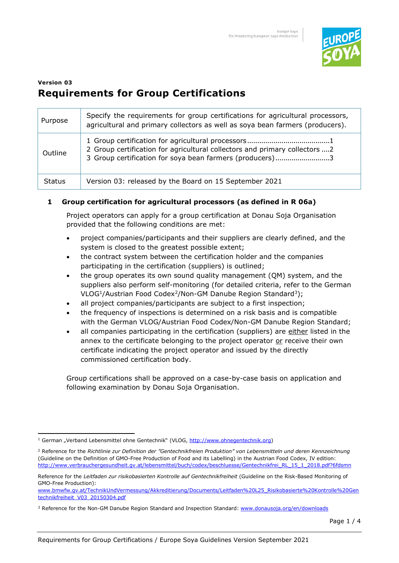

# **Version 03 Requirements for Group Certifications**

| Purpose       | Specify the requirements for group certifications for agricultural processors,<br>agricultural and primary collectors as well as soya bean farmers (producers). |
|---------------|-----------------------------------------------------------------------------------------------------------------------------------------------------------------|
| Outline       | 2 Group certification for agricultural collectors and primary collectors  2<br>3 Group certification for soya bean farmers (producers)3                         |
| <b>Status</b> | Version 03: released by the Board on 15 September 2021                                                                                                          |

### **1 Group certification for agricultural processors (as defined in R 06a)**

Project operators can apply for a group certification at Donau Soja Organisation provided that the following conditions are met:

- project companies/participants and their suppliers are clearly defined, and the system is closed to the greatest possible extent;
- the contract system between the certification holder and the companies participating in the certification (suppliers) is outlined;
- the group operates its own sound quality management (QM) system, and the suppliers also perform self-monitoring (for detailed criteria, refer to the German VLOG<sup>1</sup>/Austrian Food Codex<sup>2</sup>/Non-GM Danube Region Standard<sup>3</sup>);
- all project companies/participants are subject to a first inspection;
- the frequency of inspections is determined on a risk basis and is compatible with the German VLOG/Austrian Food Codex/Non-GM Danube Region Standard;
- all companies participating in the certification (suppliers) are either listed in the annex to the certificate belonging to the project operator or receive their own certificate indicating the project operator and issued by the directly commissioned certification body.

Group certifications shall be approved on a case-by-case basis on application and following examination by Donau Soja Organisation.

<sup>&</sup>lt;sup>1</sup> German "Verband Lebensmittel ohne Gentechnik" (VLOG, http://www.ohnegentechnik.org)

<sup>2</sup> Reference for the *Richtlinie zur Definition der "Gentechnikfreien Produktion" von Lebensmitteln und deren Kennzeichnung* (Guideline on the Definition of GMO-Free Production of Food and its Labelling) in the Austrian Food Codex, IV edition: http://www.verbrauchergesundheit.gv.at/lebensmittel/buch/codex/beschluesse/Gentechnikfrei\_RL\_15\_1\_2018.pdf?6fdsmn

Reference for the *Leitfaden zur risikobasierten Kontrolle auf Gentechnikfreiheit* (Guideline on the Risk-Based Monitoring of GMO-Free Production):

[www.bmwfw.gv.at/TechnikUndVermessung/Akkreditierung/Documents/Leitfaden%20L25\\_Risikobasierte%20Kontrolle%20Gen](http://www.bmwfw.gv.at/TechnikUndVermessung/Akkreditierung/Documents/Leitfaden%20L25_Risikobasierte%20Kontrolle%20Gentechnikfreiheit_V03_20150304.pdf) [technikfreiheit\\_V03\\_20150304.pdf](http://www.bmwfw.gv.at/TechnikUndVermessung/Akkreditierung/Documents/Leitfaden%20L25_Risikobasierte%20Kontrolle%20Gentechnikfreiheit_V03_20150304.pdf)

<sup>&</sup>lt;sup>3</sup> Reference for the Non-GM Danube Region Standard and Inspection Standard: [www.donausoja.org/en/downloads](http://www.donausoja.org/en/downloads)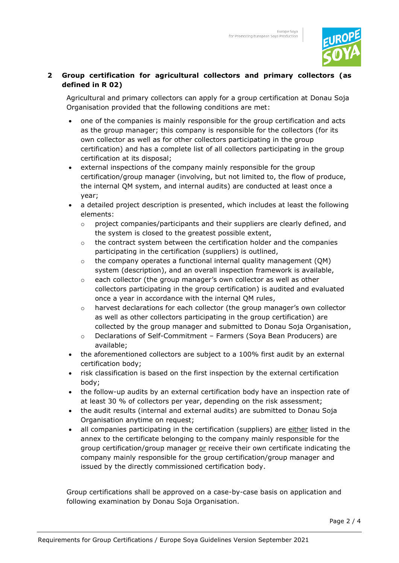

## **2 Group certification for agricultural collectors and primary collectors (as defined in R 02)**

Agricultural and primary collectors can apply for a group certification at Donau Soja Organisation provided that the following conditions are met:

- one of the companies is mainly responsible for the group certification and acts as the group manager; this company is responsible for the collectors (for its own collector as well as for other collectors participating in the group certification) and has a complete list of all collectors participating in the group certification at its disposal;
- external inspections of the company mainly responsible for the group certification/group manager (involving, but not limited to, the flow of produce, the internal QM system, and internal audits) are conducted at least once a year;
- a detailed project description is presented, which includes at least the following elements:
	- $\circ$  project companies/participants and their suppliers are clearly defined, and the system is closed to the greatest possible extent,
	- o the contract system between the certification holder and the companies participating in the certification (suppliers) is outlined,
	- $\circ$  the company operates a functional internal quality management (QM) system (description), and an overall inspection framework is available,
	- $\circ$  each collector (the group manager's own collector as well as other collectors participating in the group certification) is audited and evaluated once a year in accordance with the internal QM rules,
	- o harvest declarations for each collector (the group manager's own collector as well as other collectors participating in the group certification) are collected by the group manager and submitted to Donau Soja Organisation,
	- o Declarations of Self-Commitment Farmers (Soya Bean Producers) are available;
- the aforementioned collectors are subject to a 100% first audit by an external certification body;
- risk classification is based on the first inspection by the external certification body;
- the follow-up audits by an external certification body have an inspection rate of at least 30 % of collectors per year, depending on the risk assessment;
- the audit results (internal and external audits) are submitted to Donau Soja Organisation anytime on request;
- all companies participating in the certification (suppliers) are either listed in the annex to the certificate belonging to the company mainly responsible for the group certification/group manager or receive their own certificate indicating the company mainly responsible for the group certification/group manager and issued by the directly commissioned certification body.

Group certifications shall be approved on a case-by-case basis on application and following examination by Donau Soja Organisation.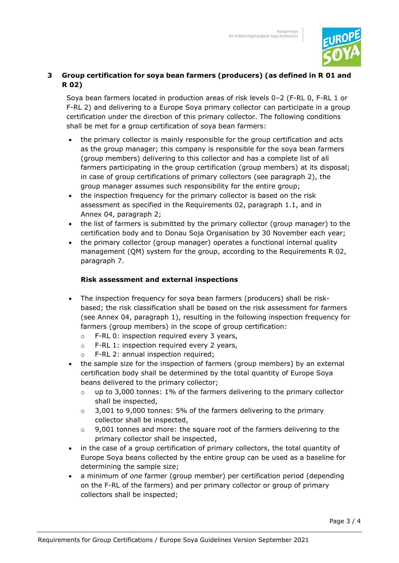

# **3 Group certification for soya bean farmers (producers) (as defined in R 01 and R 02)**

Soya bean farmers located in production areas of risk levels 0–2 (F-RL 0, F-RL 1 or F-RL 2) and delivering to a Europe Soya primary collector can participate in a group certification under the direction of this primary collector. The following conditions shall be met for a group certification of soya bean farmers:

- the primary collector is mainly responsible for the group certification and acts as the group manager; this company is responsible for the soya bean farmers (group members) delivering to this collector and has a complete list of all farmers participating in the group certification (group members) at its disposal; in case of group certifications of primary collectors (see paragraph 2), the group manager assumes such responsibility for the entire group;
- the inspection frequency for the primary collector is based on the risk assessment as specified in the Requirements 02, paragraph 1.1, and in Annex 04, paragraph 2;
- the list of farmers is submitted by the primary collector (group manager) to the certification body and to Donau Soja Organisation by 30 November each year;
- the primary collector (group manager) operates a functional internal quality management (QM) system for the group, according to the Requirements R 02, paragraph 7.

### **Risk assessment and external inspections**

- The inspection frequency for soya bean farmers (producers) shall be riskbased; the risk classification shall be based on the risk assessment for farmers (see Annex 04, paragraph 1), resulting in the following inspection frequency for farmers (group members) in the scope of group certification:
	- o F-RL 0: inspection required every 3 years,
	- o F-RL 1: inspection required every 2 years,
	- o F-RL 2: annual inspection required;
- the sample size for the inspection of farmers (group members) by an external certification body shall be determined by the total quantity of Europe Soya beans delivered to the primary collector;
	- $\circ$  up to 3,000 tonnes: 1% of the farmers delivering to the primary collector shall be inspected,
	- o 3,001 to 9,000 tonnes: 5% of the farmers delivering to the primary collector shall be inspected,
	- $\circ$  9,001 tonnes and more: the square root of the farmers delivering to the primary collector shall be inspected,
- in the case of a group certification of primary collectors, the total quantity of Europe Soya beans collected by the entire group can be used as a baseline for determining the sample size;
- a minimum of *one* farmer (group member) per certification period (depending on the F-RL of the farmers) and per primary collector or group of primary collectors shall be inspected;